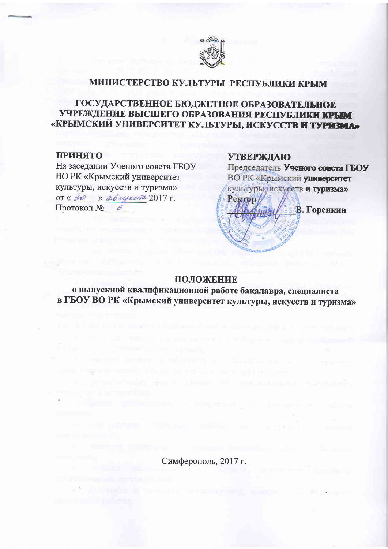

# МИНИСТЕРСТВО КУЛЬТУРЫ РЕСПУБЛИКИ КРЫМ

# ГОСУДАРСТВЕННОЕ БЮДЖЕТНОЕ ОБРАЗОВАТЕЛЬНОЕ УЧРЕЖДЕНИЕ ВЫСШЕГО ОБРАЗОВАНИЯ РЕСПУБЛИКИ КРЫМ «КРЫМСКИЙ УНИВЕРСИТЕТ КУЛЬТУРЫ, ИСКУССТВ И ТУРИЗМА»

## **ПРИНЯТО**

На заседании Ученого совета ГБОУ ВО РК «Крымский университет культуры, искусств и туризма» OT « 30 » abujuar 2017 г. Протокол № 6

### **УТВЕРЖДАЮ**



# ПОЛОЖЕНИЕ

о выпускной квалификационной работе бакалавра, специалиста в ГБОУ ВО РК «Крымский университет культуры, искусств и туризма»

Симферополь, 2017 г.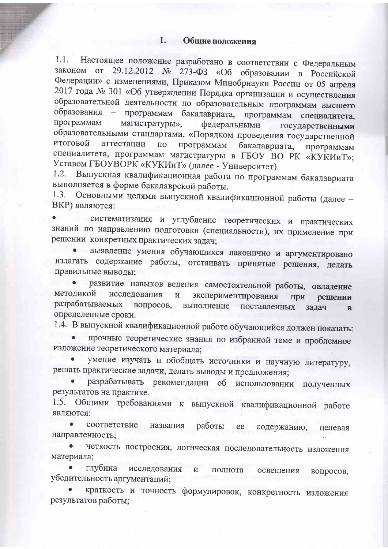Настоящее положение разработано в соответствии с Федеральным 1.1. законом от 29.12.2012 № 273-ФЗ «Об образовании в Российской Федерации» с изменениями, Приказом Минобрнауки России от 05 апреля 2017 года № 301 «Об утверждении Порядка организации и осуществления образовательной деятельности по образовательным программам высшего - программам бакалавриата, программам специалитета. образования программам магистратуры», федеральными государственными образовательными стандартами, «Порядком проведения государственной итоговой аттестации  $\Pi$ O программам бакалавриата, программам специалитета, программам магистратуры в ГБОУ ВО РК «КУКИиТ»; Уставом ГБОУВОРК «КУКИиТ» (далее - Университет).

1.2. Выпускная квалификационная работа по программам бакалавриата выполняется в форме бакалаврской работы.

Основными целями выпускной квалификационной работы (далее - $1.3.$ ВКР) являются:

систематизация и углубление теоретических и практических знаний по направлению подготовки (специальности), их применение при решении конкретных практических задач;

выявление умения обучающихся лаконично и аргументировано излагать содержание работы, отстаивать принятые решения, делать правильные выводы;

развитие навыков ведения самостоятельной работы, овладение методикой исследования и экспериментирования при **решении** разрабатываемых вопросов, выполнение поставленных залач  $\overline{B}$ определенные сроки.

1.4. В выпускной квалификационной работе обучающийся должен показать:

прочные теоретические знания по избранной теме и проблемное изложение теоретического материала;

умение изучать и обобщать источники и научную литературу, решать практические задачи, делать выводы и предложения;

разрабатывать рекомендации об использовании полученных результатов на практике.

Общими требованиями к выпускной квалификационной работе  $1.5.$ являются:

соответствие названия работы ee содержанию, целевая направленность;

четкость построения, логическая последовательность изложения материала;

глубина исследования  $\boldsymbol{\mathrm{M}}$ полнота освещения вопросов, убедительность аргументаций;

краткость и точность формулировок, конкретность изложения результатов работы;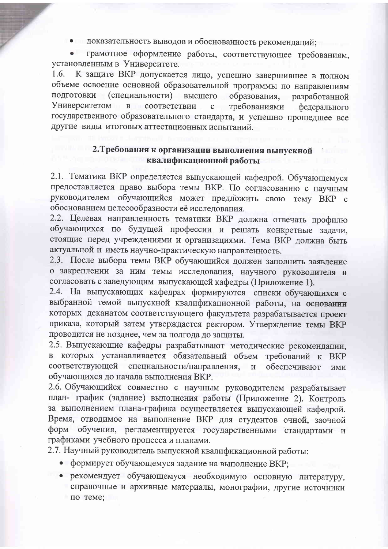доказательность выводов и обоснованность рекомендаций:

грамотное оформление работы, соответствующее требованиям. установленным в Университете.

К защите ВКР допускается лицо, успешно завершившее в полном  $1.6.$ объеме освоение основной образовательной программы по направлениям ПОДГОТОВКИ (специальности) высшего образования, разработанной Университетом  $\mathbf{B}$ соответствии требованиями  $\mathbf C$ федерального государственного образовательного стандарта, и успешно прошедшее все другие виды итоговых аттестационных испытаний.

# 2. Требования к организации выполнения выпускной квалификационной работы

2.1. Тематика ВКР определяется выпускающей кафедрой. Обучающемуся предоставляется право выбора темы ВКР. По согласованию с научным руководителем обучающийся может предложить свою тему ВКР с обоснованием целесообразности её исследования.

2.2. Целевая направленность тематики ВКР должна отвечать профилю обучающихся по будущей профессии и решать конкретные задачи, стоящие перед учреждениями и организациями. Тема ВКР должна быть актуальной и иметь научно-практическую направленность.

2.3. После выбора темы ВКР обучающийся должен заполнить заявление о закреплении за ним темы исследования, научного руководителя и согласовать с заведующим выпускающей кафедры (Приложение 1).

2.4. На выпускающих кафедрах формируются списки обучающихся с выбранной темой выпускной квалификационной работы, на основании которых деканатом соответствующего факультета разрабатывается проект приказа, который затем утверждается ректором. Утверждение темы ВКР проводится не позднее, чем за полгода до защиты.

2.5. Выпускающие кафедры разрабатывают методические рекомендации, в которых устанавливается обязательный объем требований к ВКР соответствующей специальности/направления,  $\overline{\mathbf{M}}$ обеспечивают ИМИ обучающихся до начала выполнения ВКР.

2.6. Обучающийся совместно с научным руководителем разрабатывает план- график (задание) выполнения работы (Приложение 2). Контроль за выполнением плана-графика осуществляется выпускающей кафедрой. Время, отводимое на выполнение ВКР для студентов очной, заочной форм обучения, регламентируется государственными стандартами и графиками учебного процесса и планами.

2.7. Научный руководитель выпускной квалификационной работы:

- формирует обучающемуся задание на выполнение ВКР;
- рекомендует обучающемуся необходимую основную литературу, справочные и архивные материалы, монографии, другие источники по теме;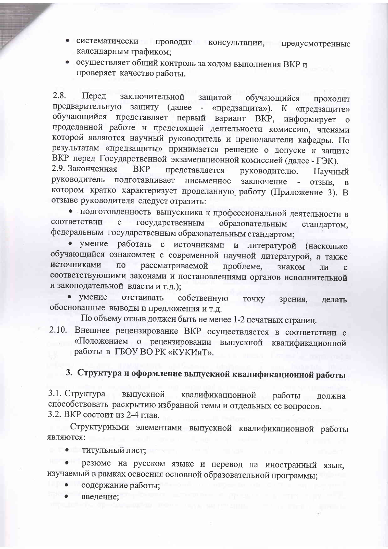- систематически проводит консультации, предусмотренные календарным графиком;
- осуществляет общий контроль за ходом выполнения ВКР и проверяет качество работы.

2.8. Перед заключительной защитой обучающийся Проходит предварительную защиту (далее -«предзащита»). К «предзащите» представляет первый вариант ВКР, обучающийся информирует  $\mathbf{o}$ проделанной работе и предстоящей деятельности комиссию, членами которой являются научный руководитель и преподаватели кафедры. По результатам «предзащиты» принимается решение о допуске к защите ВКР перед Государственной экзаменационной комиссией (далее - ГЭК). 2.9. Законченная **BKP** представляется руководителю. Научный подготавливает руководитель письменное заключение  $\overline{a}$ отзыв,  $\overline{B}$ котором кратко характеризует проделанную работу (Приложение 3). В отзыве руководителя следует отразить:

• подготовленность выпускника к профессиональной деятельности в соответствии  $\mathbf{C}$ государственным образовательным стандартом, федеральным государственным образовательным стандартом;

• умение работать с источниками и литературой (насколько обучающийся ознакомлен с современной научной литературой, а также рассматриваемой источниками  $\overline{a}$ проблеме, знаком ЛИ  $\mathbf{C}$ соответствующими законами и постановлениями органов исполнительной и законодательной власти и т.д.);

• умение отстаивать собственную точку зрения. делать обоснованные выводы и предложения и т.д.

По объему отзыв должен быть не менее 1-2 печатных страниц.

2.10. Внешнее рецензирование ВКР осуществляется в соответствии с «Положением о рецензировании выпускной квалификационной работы в ГБОУ ВО РК «КУКИиТ».

# 3. Структура и оформление выпускной квалификационной работы

квалификационной работы должна 3.1. Структура выпускной способствовать раскрытию избранной темы и отдельных ее вопросов. 3.2. ВКР состоит из 2-4 глав.

Структурными элементами выпускной квалификационной работы ЯВЛЯЮТСЯ:

титульный лист;

резюме на русском языке и перевод на иностранный язык, изучаемый в рамках освоения основной образовательной программы;

- содержание работы;
- введение;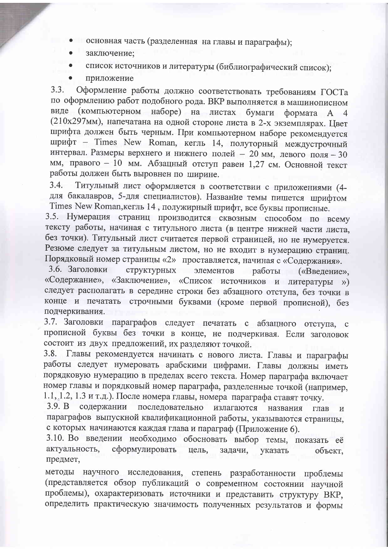- основная часть (разделенная на главы и параграфы);
- заключение;
- список источников и литературы (библиографический список);
- приложение

Оформление работы должно соответствовать требованиям ГОСТа  $3.3.$ по оформлению работ подобного рода. ВКР выполняется в машинописном виде (компьютерном наборе) на листах бумаги формата А 4 (210х297мм), напечатана на одной стороне листа в 2-х экземплярах. Цвет шрифта должен быть черным. При компьютерном наборе рекомендуется шрифт - Times New Roman, кегль 14, полуторный междустрочный интервал. Размеры верхнего и нижнего полей - 20 мм, левого поля - 30 мм, правого - 10 мм. Абзацный отступ равен 1,27 см. Основной текст работы должен быть выровнен по ширине.

Титульный лист оформляется в соответствии с приложениями (4- $3.4.$ для бакалавров, 5-для специалистов). Название темы пишется шрифтом Times New Roman, кегль 14, полужирный шрифт, все буквы прописные.

3.5. Нумерация страниц производится сквозным способом по всему тексту работы, начиная с титульного листа (в центре нижней части листа, без точки). Титульный лист считается первой страницей, но не нумеруется. Резюме следует за титульным листом, но не входит в нумерацию страниц. Порядковый номер страницы «2» проставляется, начиная с «Содержания».

3.6. Заголовки структурных элементов работы («Ввеление». «Содержание», «Заключение», «Список источников и литературы ») следует располагать в середине строки без абзацного отступа, без точки в конце и печатать строчными буквами (кроме первой прописной), без подчеркивания.

3.7. Заголовки параграфов следует печатать с абзацного отступа, с прописной буквы без точки в конце, не подчеркивая. Если заголовок состоит из двух предложений, их разделяют точкой.

3.8. Главы рекомендуется начинать с нового листа. Главы и параграфы работы следует нумеровать арабскими цифрами. Главы должны иметь порядковую нумерацию в пределах всего текста. Номер параграфа включает номер главы и порядковый номер параграфа, разделенные точкой (например, 1.1, 1.2, 1.3 и т.д.). После номера главы, номера параграфа ставят точку.

 $3.9. B$ содержании последовательно излагаются названия глав  $\overline{M}$ параграфов выпускной квалификационной работы, указываются страницы, с которых начинаются каждая глава и параграф (Приложение 6).

3.10. Во введении необходимо обосновать выбор темы, показать её актуальность, сформулировать цель, задачи, указать объект. предмет,

методы научного исследования, степень разработанности проблемы (представляется обзор публикаций о современном состоянии научной проблемы), охарактеризовать источники и представить структуру ВКР, определить практическую значимость полученных результатов и формы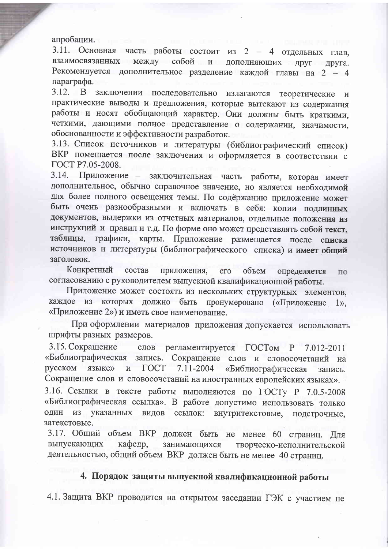апробации.

3.11. Основная часть работы состоит из  $\overline{2}$ – 4 отдельных глав. взаимосвязанных между собой  $\mathbf{M}$ дополняющих ДРУГ лоуга. Рекомендуется дополнительное разделение каждой главы на 2 - 4 параграфа.

3.12. В заключении последовательно излагаются теоретические  $\overline{M}$ практические выводы и предложения, которые вытекают из содержания работы и носят обобщающий характер. Они должны быть краткими, четкими, дающими полное представление о содержании, значимости, обоснованности и эффективности разработок.

3.13. Список источников и литературы (библиографический список) ВКР помещается после заключения и оформляется в соответствии с ГОСТ Р7.05-2008.

3.14. Приложение - заключительная часть работы, которая имеет дополнительное, обычно справочное значение, но является необходимой для более полного освещения темы. По содержанию приложение может быть очень разнообразными и включать в себя: копии подлинных документов, выдержки из отчетных материалов, отдельные положения из инструкций и правил и т.д. По форме оно может представлять собой текст. графики, карты. Приложение размещается после списка таблицы, источников и литературы (библиографического списка) и имеет общий заголовок.

Конкретный состав приложения, его объем определяется  $\Pi$ <sup>O</sup> согласованию с руководителем выпускной квалификационной работы.

Приложение может состоять из нескольких структурных элементов, каждое из которых должно быть пронумеровано («Приложение  $1<sub>2</sub>$ «Приложение 2») и иметь свое наименование.

При оформлении материалов приложения допускается использовать шрифты разных размеров.

3.15. Сокращение слов регламентируется ГОСТом Р 7.012-2011 «Библиографическая запись. Сокращение слов и словосочетаний на русском языке» **TOCT** 7.11-2004 «Библиографическая  $\overline{M}$ запись. Сокращение слов и словосочетаний на иностранных европейских языках».

3.16. Ссылки в тексте работы выполняются по ГОСТу Р 7.0.5-2008 «Библиографическая ссылка». В работе допустимо использовать только из указанных ОДИН видов ссылок: внутритекстовые, подстрочные, затекстовые.

3.17. Общий объем ВКР должен быть не менее 60 страниц. Лля выпускающих кафедр, занимающихся творческо-исполнительской деятельностью, общий объем ВКР должен быть не менее 40 страниц.

#### 4. Порядок защиты выпускной квалификационной работы

4.1. Защита ВКР проводится на открытом заседании ГЭК с участием не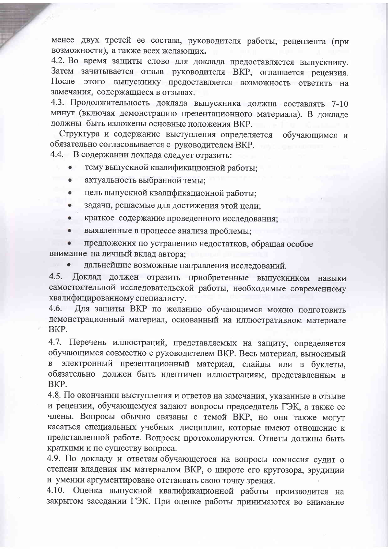менее двух третей ее состава, руководителя работы, рецензента (при возможности), а также всех желающих.

4.2. Во время защиты слово для доклада предоставляется выпускнику. Затем зачитывается отзыв руководителя ВКР, оглашается рецензия. После этого выпускнику предоставляется возможность ответить на замечания, содержащиеся в отзывах.

4.3. Продолжительность доклада выпускника должна составлять 7-10 минут (включая демонстрацию презентационного материала). В докладе должны быть изложены основные положения ВКР.

Структура и содержание выступления определяется обучающимся и обязательно согласовывается с руководителем ВКР.

4.4. В содержании доклада следует отразить:

- тему выпускной квалификационной работы:
- актуальность выбранной темы:
- цель выпускной квалификационной работы;
- задачи, решаемые для достижения этой цели:
- краткое содержание проведенного исследования:  $\bullet$
- $\bullet$ выявленные в процессе анализа проблемы;

предложения по устранению недостатков, обращая особое внимание на личный вклад автора;

дальнейшие возможные направления исследований.

 $4.5.$ Доклад должен отразить приобретенные выпускником навыки самостоятельной исследовательской работы, необходимые современному квалифицированному специалисту.

Для защиты ВКР по желанию обучающимся можно подготовить  $4.6.$ демонстрационный материал, основанный на иллюстративном материале BKP.

4.7. Перечень иллюстраций, представляемых на защиту, определяется обучающимся совместно с руководителем ВКР. Весь материал, выносимый в электронный презентационный материал, слайды или в буклеты, обязательно должен быть идентичен иллюстрациям, представленным в BKP.

4.8. По окончании выступления и ответов на замечания, указанные в отзыве и рецензии, обучающемуся задают вопросы председатель ГЭК, а также ее члены. Вопросы обычно связаны с темой ВКР, но они также могут касаться специальных учебных дисциплин, которые имеют отношение к представленной работе. Вопросы протоколируются. Ответы должны быть краткими и по существу вопроса.

4.9. По докладу и ответам обучающегося на вопросы комиссия судит о степени владения им материалом ВКР, о широте его кругозора, эрудиции и умении аргументировано отстаивать свою точку зрения.

4.10. Оценка выпускной квалификационной работы производится на закрытом заседании ГЭК. При оценке работы принимаются во внимание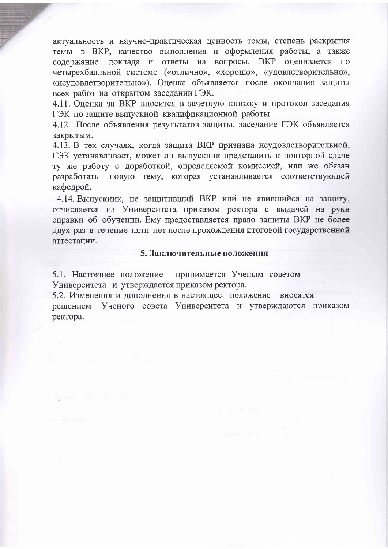актуальность и научно-практическая ценность темы, степень раскрытия темы в ВКР, качество выполнения и оформления работы, а также доклада и ответы на вопросы. ВКР оценивается по содержание четырехбалльной системе («отлично», «хорошо», «удовлетворительно», «неудовлетворительно»). Оценка объявляется после окончания защиты всех работ на открытом заседании ГЭК.

4.11. Оценка за ВКР вносится в зачетную книжку и протокол заседания ГЭК по защите выпускной квалификационной работы.

4.12. После объявления результатов защиты, заседание ГЭК объявляется закрытым.

4.13. В тех случаях, когда защита ВКР признана неудовлетворительной, ГЭК устанавливает, может ли выпускник представить к повторной сдаче ту же работу с доработкой, определяемой комиссией, или же обязан новую тему, которая устанавливается соответствующей разработать кафедрой.

4.14. Выпускник, не защитивший ВКР или не явившийся на защиту, отчисляется из Университета приказом ректора с выдачей на руки справки об обучении. Ему предоставляется право защиты ВКР не более двух раз в течение пяти лет после прохождения итоговой государственной аттестании.

#### 5. Заключительные положения

5.1. Настоящее положение принимается Ученым советом Университета и утверждается приказом ректора.

5.2. Изменения и дополнения в настоящее положение вносятся решением Ученого совета Университета и утверждаются приказом ректора.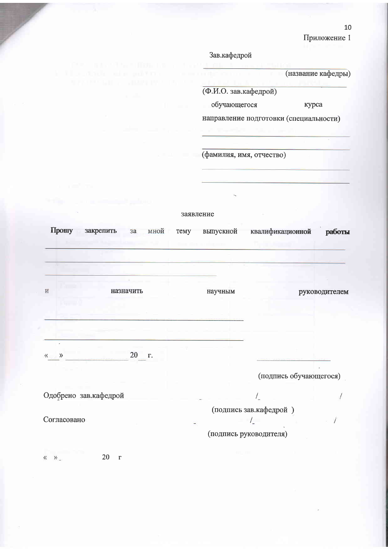Зав.кафедрой

(название кафедры)

(Ф.И.О. зав. кафедрой)

обучающегося

курса

направление подготовки (специальности)

(фамилия, имя, отчество)

#### заявление

**Hpomy** закрепить мной выпускной квалификационной  $3a$ тему работы

назначить

20 г.  $\rightarrow$  $\langle\langle$ 

(подпись обучающегося)

Одобрено зав. кафедрой

Согласовано

И

20  $\left\langle \left\langle \quad \right\rangle \right\rangle _{-}$  $\Gamma$ 

научным

руководителем

(подпись зав.кафедрой)  $\sqrt{2}$ 

 $/$ 

# (подпись руководителя)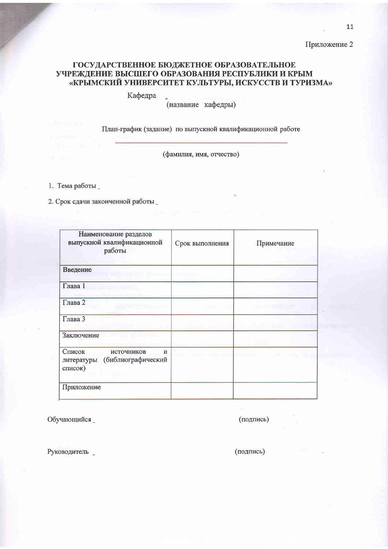# ГОСУДАРСТВЕННОЕ БЮДЖЕТНОЕ ОБРАЗОВАТЕЛЬНОЕ УЧРЕЖДЕНИЕ ВЫСШЕГО ОБРАЗОВАНИЯ РЕСПУБЛИКИ И КРЫМ «КРЫМСКИЙ УНИВЕРСИТЕТ КУЛЬТУРЫ, ИСКУССТВ И ТУРИЗМА»

Кафедра

(название кафедры)

План-график (задание) по выпускной квалификационной работе

(фамилия, имя, отчество)

1. Тема работы

2. Срок сдачи законченной работы

| Наименование разделов<br>выпускной квалификационной<br>работы                                 | Срок выполнения | Примечание |
|-----------------------------------------------------------------------------------------------|-----------------|------------|
| Введение                                                                                      |                 |            |
| Глава 1                                                                                       |                 |            |
| Глава 2                                                                                       |                 |            |
| Глава 3                                                                                       |                 |            |
| Заключение                                                                                    |                 |            |
| Список<br>источников<br>и<br>(библиографический<br>литературы<br>список)<br><b>CONTRACTOR</b> |                 |            |
| Приложение                                                                                    |                 |            |

Обучающийся

(подпись)

Руководитель

(подпись)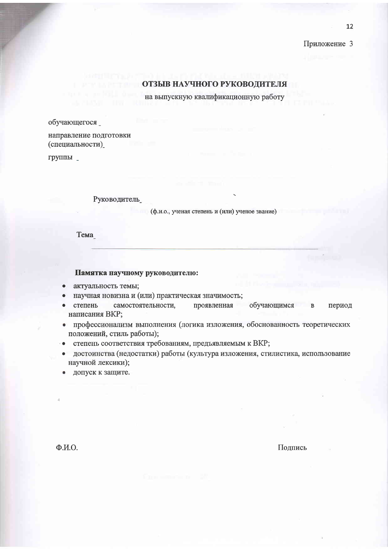### ОТЗЫВ НАУЧНОГО РУКОВОДИТЕЛЯ

на выпускную квалификационную работу

обучающегося

направление подготовки (специальности)

группы

Руководитель

(ф.и.о., ученая степень и (или) ученое звание)

Тема

#### Памятка научному руководителю:

- актуальность темы;
- научная новизна и (или) практическая значимость;
- степень самостоятельности, обучающимся проявленная период  $\overline{B}$ написания ВКР;
- профессионализм выполнения (логика изложения, обоснованность теоретических положений, стиль работы);
- степень соответствия требованиям, предъявляемым к ВКР;
- достоинства (недостатки) работы (культура изложения, стилистика, использование научной лексики);
- допуск к защите.

 $\Phi$ <sub>M.O</sub>.

Подпись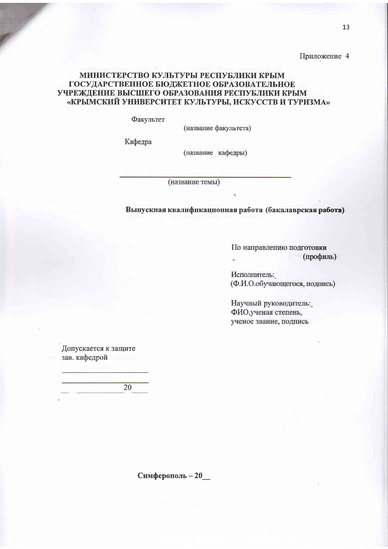# МИНИСТЕРСТВО КУЛЬТУРЫ РЕСПУБЛИКИ КРЫМ ГОСУДАРСТВЕННОЕ БЮДЖЕТНОЕ ОБРАЗОВАТЕЛЬНОЕ УЧРЕЖДЕНИЕ ВЫСШЕГО ОБРАЗОВАНИЯ РЕСПУБЛИКИ КРЫМ «КРЫМСКИЙ УНИВЕРСИТЕТ КУЛЬТУРЫ, ИСКУССТВ И ТУРИЗМА»

Факультет

(название факультета)

Кафедра

(название кафедры)

(название темы)

Выпускная квалификационная работа (бакалаврская работа)

По направлению подготовки (профиль)

Исполнитель: (Ф.И.О.обучающегося, подпись)

Научный руководитель: ФИО, ученая степень, ученое звание, подпись

Допускается к защите зав. кафедрой

20

Симферополь - 20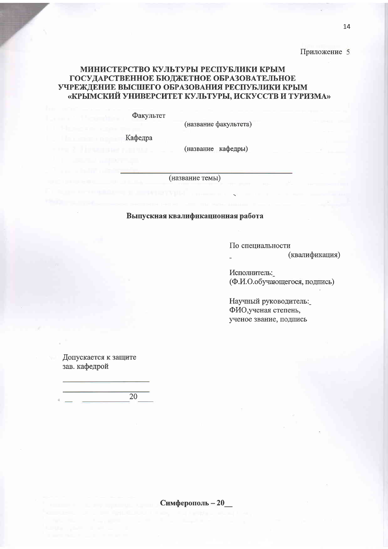# МИНИСТЕРСТВО КУЛЬТУРЫ РЕСПУБЛИКИ КРЫМ ГОСУДАРСТВЕННОЕ БЮДЖЕТНОЕ ОБРАЗОВАТЕЛЬНОЕ УЧРЕЖДЕНИЕ ВЫСШЕГО ОБРАЗОВАНИЯ РЕСПУБЛИКИ КРЫМ «КРЫМСКИЙ УНИВЕРСИТЕТ КУЛЬТУРЫ, ИСКУССТВ И ТУРИЗМА»

Факультет

(название факультета)

Кафедра

(название кафедры)

(название темы)

#### Выпускная квалификационная работа

По специальности (квалификация)

Исполнитель: (Ф.И.О.обучающегося, подпись)

Научный руководитель: ФИО, ученая степень, ученое звание, подпись

Допускается к защите зав. кафедрой

 $\overline{20}$ 

 $14$